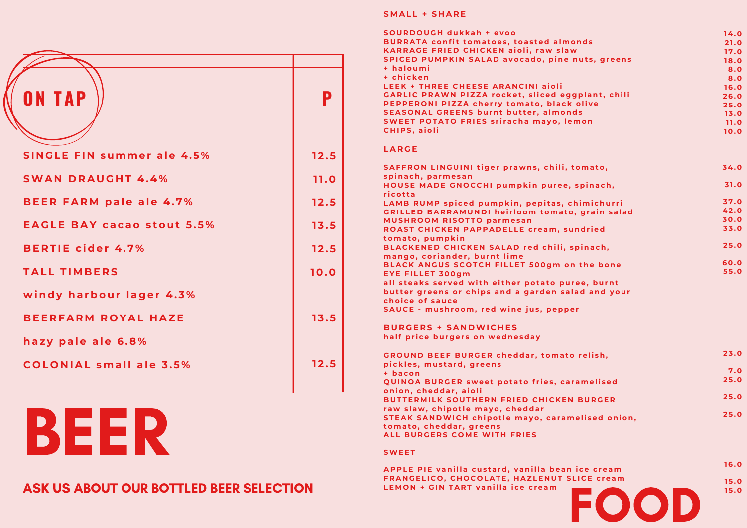| <b>ON TAP</b>                     | P    |
|-----------------------------------|------|
| <b>SINGLE FIN summer ale 4.5%</b> | 12.5 |
| <b>SWAN DRAUGHT 4.4%</b>          | 11.0 |
| <b>BEER FARM pale ale 4.7%</b>    | 12.5 |
| <b>EAGLE BAY cacao stout 5.5%</b> | 13.5 |
| <b>BERTIE cider 4.7%</b>          | 12.5 |
| <b>TALL TIMBERS</b>               | 10.0 |
| windy harbour lager 4.3%          |      |
| <b>BEERFARM ROYAL HAZE</b>        | 13.5 |
| hazy pale ale 6.8%                |      |
| <b>COLONIAL small ale 3.5%</b>    | 12.5 |
|                                   |      |

BEER

### ASK US ABOUT OUR BOTTLED BEER SELECTION

#### **SMALL + SHARE**

| <b>SOURDOUGH dukkah + evoo</b>                                        | 14.0         |
|-----------------------------------------------------------------------|--------------|
| <b>BURRATA confit tomatoes, toasted almonds</b>                       | 21.0         |
| <b>KARRAGE FRIED CHICKEN aioli, raw slaw</b>                          | 17.0         |
| <b>SPICED PUMPKIN SALAD avocado, pine nuts, greens</b>                | 18.0         |
| + haloumi                                                             | 8.0          |
| + chicken                                                             | 8.0          |
| <b>LEEK + THREE CHEESE ARANCINI aioli</b>                             | 16.0         |
| <b>GARLIC PRAWN PIZZA rocket, sliced eggplant, chili</b>              | 26.0         |
| PEPPERONI PIZZA cherry tomato, black olive                            | 25.0         |
| <b>SEASONAL GREENS burnt butter, almonds</b>                          | 13.0         |
| <b>SWEET POTATO FRIES sriracha mayo, lemon</b>                        | 11.0         |
| <b>CHIPS.</b> aioli                                                   | 10.0         |
| <b>LARGE</b>                                                          |              |
| SAFFRON LINGUINI tiger prawns, chili, tomato,                         | 34.0         |
| spinach, parmesan                                                     |              |
| HOUSE MADE GNOCCHI pumpkin puree, spinach,                            | 31.0         |
| ricotta                                                               |              |
| LAMB RUMP spiced pumpkin, pepitas, chimichurri                        | 37.0         |
| <b>GRILLED BARRAMUNDI heirloom tomato, grain salad</b>                | 42.0<br>30.0 |
| <b>MUSHROOM RISOTTO parmesan</b>                                      | 33.0         |
| <b>ROAST CHICKEN PAPPADELLE cream, sundried</b>                       |              |
| tomato, pumpkin                                                       | 25.0         |
| BLACKENED CHICKEN SALAD red chili, spinach,                           |              |
| mango, coriander, burnt lime                                          | 60.0         |
| BLACK ANGUS SCOTCH FILLET 500gm on the bone                           | 55.0         |
| <b>EYE FILLET 300gm</b>                                               |              |
| all steaks served with either potato puree, burnt                     |              |
| butter greens or chips and a garden salad and your<br>choice of sauce |              |
|                                                                       |              |
| SAUCE - mushroom, red wine jus, pepper                                |              |
| <b>BURGERS + SANDWICHES</b>                                           |              |
| half price burgers on wednesday                                       |              |
| <b>GROUND BEEF BURGER cheddar, tomato relish,</b>                     | 23.0         |
| pickles, mustard, greens                                              |              |
| + bacon                                                               | 7.0          |
| QUINOA BURGER sweet potato fries, caramelised                         | 25.0         |
| onion, cheddar, aioli                                                 | 25.0         |
| <b>BUTTERMILK SOUTHERN FRIED CHICKEN BURGER</b>                       |              |
| raw slaw, chipotle mayo, cheddar                                      | 25.0         |
| STEAK SANDWICH chipotle mayo, caramelised onion,                      |              |
| tomato, cheddar, greens                                               |              |
| <b>ALL BURGERS COME WITH FRIES</b>                                    |              |
|                                                                       |              |

#### **SWEET**

| APPLE PIE vanilla custard, vanilla bean ice cream  | 16.0 |
|----------------------------------------------------|------|
| <b>FRANGELICO, CHOCOLATE, HAZLENUT SLICE cream</b> | 15.0 |
| <b>LEMON + GIN TART vanilla ice cream</b>          | 15.0 |
|                                                    |      |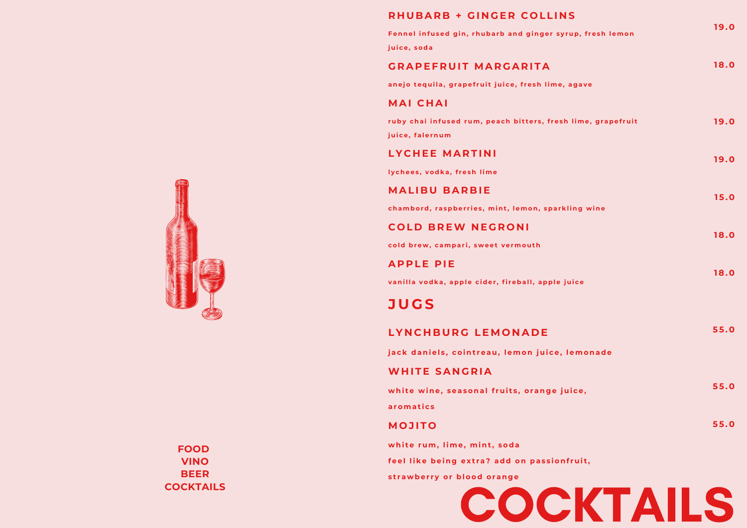| <b>RHUBARB + GINGER COLLINS</b>                                                 |      |
|---------------------------------------------------------------------------------|------|
| Fennel infused gin, rhubarb and ginger syrup, fresh lemon                       | 19.0 |
| juice, soda                                                                     |      |
| <b>GRAPEFRUIT MARGARITA</b>                                                     | 18.0 |
| anejo tequila, grapefruit juice, fresh lime, agave                              |      |
| <b>MAI CHAI</b>                                                                 |      |
| ruby chai infused rum, peach bitters, fresh lime, grapefruit<br>juice, falernum | 19.0 |
| <b>LYCHEE MARTINI</b>                                                           | 19.0 |
| lychees, vodka, fresh lime                                                      |      |
| <b>MALIBU BARBIE</b>                                                            | 15.0 |
| chambord, raspberries, mint, lemon, sparkling wine                              |      |
| <b>COLD BREW NEGRONI</b>                                                        | 18.0 |
| cold brew, campari, sweet vermouth                                              |      |
| <b>APPLE PIE</b>                                                                | 18.0 |
| vanilla vodka, apple cider, fireball, apple juice                               |      |
| <b>JUGS</b>                                                                     |      |
| LYNCHBURG LEMONADE                                                              | 55.0 |
| jack daniels, cointreau, lemon juice, lemonade                                  |      |
| <b>WHITE SANGRIA</b>                                                            |      |
| white wine, seasonal fruits, orange juice,                                      | 55.0 |
| aromatics                                                                       |      |
| <b>MOJITO</b>                                                                   | 55.0 |
| white rum, lime, mint, soda                                                     |      |
| feel like being extra? add on passionfruit,                                     |      |

**s t r a w be r r y or blood or an g e**





**FOOD VINO BEER COCKTAILS**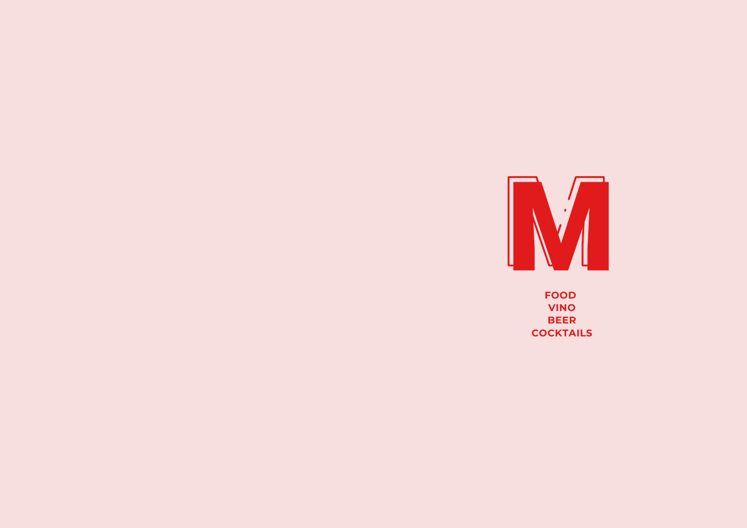

**FOOD VINO BEER COCKTAILS**